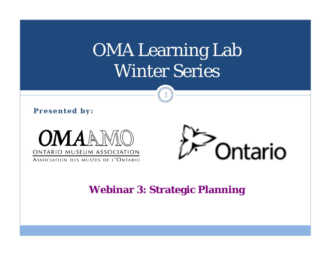# OMA Learning Lab Winter Series

1

**Presented by:**





#### **Webinar 3: Strategic Planning**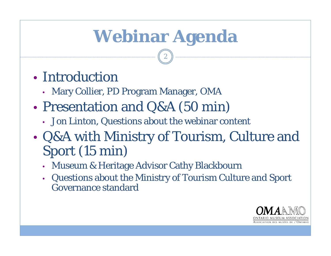# **Webinar Agenda**

- Introduction
	- •Mary Collier, PD Program Manager, OMA
- $\bullet$  Presentation and Q&A (50 min)
	- Jon Linton, Questions about the webinar content
- $\bullet$  Q&A with Ministry of Tourism, Culture and Sport (15 min)
	- •Museum & Heritage Advisor Cathy Blackbourn
	- • Questions about the Ministry of Tourism Culture and Sport Governance standard

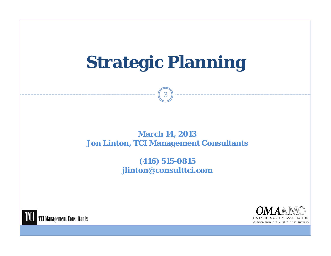# **Strategic Planning**

3

**March 14, 2013 Jon Linton, TCI Management Consultants**

> **(416) 515-0815 jlinton@consulttci.com**



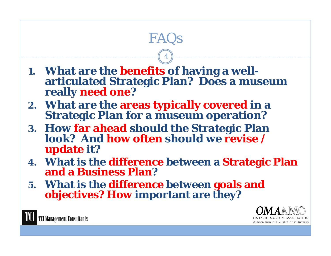

**5. What is the difference between goals and objectives? How important are they?**



**CI Management Consultants**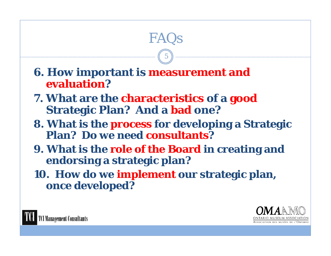#### **6. How important is measurement and evaluation?**

- **7. What are the characteristics of a good Strategic Plan? And a bad one?**
- **8. What is the process for developing a Strategic Plan? Do we need consultants?**

FAQs

5

- **9. What is the role of the Board in creating and endorsing a strategic plan?**
- **10. How do we implement our strategic plan, once developed?**



**Management Consultants**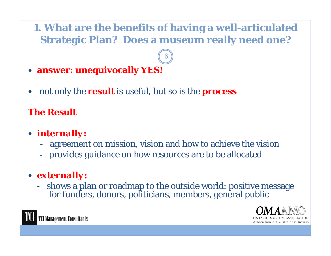#### **1. What are the benefits of having a well-articulated Strategic Plan? Does a museum really need one?**

6

- **answer: unequivocally YES!**
- $\bullet$ not only the **result** is useful, but so is the **process**

#### **The Result**

#### *internally:*

- agreement on mission, vision and how to achieve the vision
- provides guidance on how resources are to be allocated

#### *externally:*

- shows a plan or roadmap to the outside world: positive message for funders, donors, politicians, members, general public



**I Management Consultants**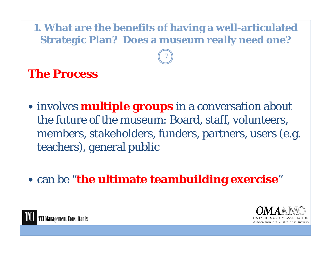#### **1. What are the benefits of having a well-articulated Strategic Plan? Does a museum really need one?**

7

#### **The Process**

- involves **multiple groups** in a conversation about the future of the museum: Board, staff, volunteers, members, stakeholders, funders, partners, users (e.g. teachers), general public
- **can be "the ultimate teambuilding exercise"**



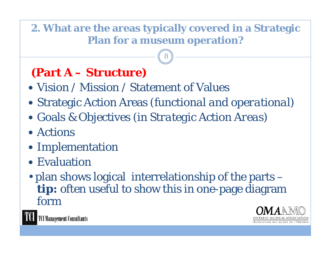#### **2. What are the areas typically covered in a Strategic Plan for a museum operation?**

8

## **(Part A – Structure)**

- Vision / Mission / Statement of Values
- Strategic Action Areas *(functional and operational)*
- Goals & Objectives *(in Strategic Action Areas)*
- Actions
- Implementation
- Evaluation
- plan shows logical interrelationship of the parts *tip:* often useful to show this in one-page diagram form



TCI Management Consultants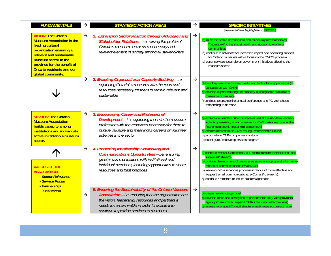| <b>FUNDAMENTALS</b>                                                                                                                                                                                                                                       |               | <b>STRATEGIC ACTION AREAS</b>                                                                                                                                                                                                                                    |               | <b>SPECIFIC INITIATITVES</b><br>(new initiatives highlighted in GREEN)                                                                                                                                                                                                                                                                                                                           |
|-----------------------------------------------------------------------------------------------------------------------------------------------------------------------------------------------------------------------------------------------------------|---------------|------------------------------------------------------------------------------------------------------------------------------------------------------------------------------------------------------------------------------------------------------------------|---------------|--------------------------------------------------------------------------------------------------------------------------------------------------------------------------------------------------------------------------------------------------------------------------------------------------------------------------------------------------------------------------------------------------|
| <b>VISION: The Ontario</b><br><b>Museum Association is the</b><br>leading cultural<br>organization ensuring a<br>relevant and sustainable<br>museum sector in the<br>province for the benefit of<br><b>Ontario residents and our</b><br>global community. | $\rightarrow$ | <b>Enhancing Sector Position through Advocacy and</b><br>Stakeholder Relations - i.e. raising the profile of<br>Ontario's museum sector as a necessary and<br>relevant element of society among all stakeholders                                                 | $\rightarrow$ | a) raise the profile of museums and museum professionals as<br>'necessary" to the social health and economic vitality of<br>communities<br>b) continue to advocate for increased capital and operating support<br>for Ontario museums with a focus on the CMOG program<br>c) continue watchdog role on government initiatives affecting the<br>museum sector                                     |
|                                                                                                                                                                                                                                                           | $\rightarrow$ | 2. Enabling Organizational Capacity-Building - i.e.<br>equipping Ontario's museums with the tools and<br>resources necessary for them to remain relevant and<br>sustainable                                                                                      | $\rightarrow$ | d) be a key resource for new media and technology applications (ir<br>consultation with CHIN)<br>e) develop expanded range of capacity-building tools available to<br>museums on website<br>f) continue to provide the annual conference and PD workshops<br>responding to demand                                                                                                                |
| <b>MISSION: The Ontario</b><br><b>Museum Association</b><br>builds capacity among<br>institutions and individuals<br>active in Ontario's museum<br>sector.                                                                                                | $\rightarrow$ | 3. Encouraging Career and Professional<br>Development - i.e. equipping those in the museum<br>profession with the resources necessary for them to<br>pursue valuable and meaningful careers or volunteer<br>activities in the sector                             | $\rightarrow$ | g) explore demand for other courses aimed at the mid-level career<br>including feasibility of two streams for CMS certificate: one at the<br>new entrant level, one at mid-career level<br>h) explore interest in an OMA Young Professionals Council<br>i) participate in CMA compensation study<br>j) reconfigure / redevelop awards program                                                    |
| <b>VALUES OF THE</b><br><b>ASSOCIATION:</b><br>- Sector Relevance<br>- Service Focus                                                                                                                                                                      | $\rightarrow$ | 4. Promoting Membership Networking and<br><b>Communications Opportunities - i.e. ensuring</b><br>greater communications with institutional and<br>individual members, including opportunities to share<br>resources and best practices                           | $\rightarrow$ | k) continue Annual Conference, but restructure into 'institutional' and<br>'individual' streams<br>I) continue development of web site as more engaging and informative<br>means of communications ("Web 2.0")<br>m) review communications program in favour of more effective and<br>frequent email communications: e-Currently, e-alerts)<br>n) continue / reinitiate museum clusters approach |
| - Partnership<br><b>Orientation</b>                                                                                                                                                                                                                       | $\rightarrow$ | 5. Ensuring the Sustainability of the Ontario Museum<br>Association - i.e. ensuring that the organization has<br>the vision, leadership, resources and partners it<br>needs to remain viable in order to enable it to<br>continue to provide services to members | $\rightarrow$ | o) create new funding model<br>p) develop more and new types of partnerships (e.g. with provincial<br>agency museums, to expand OMA's clout and effectiveness)<br>q) assess revamped Council structure and create succession plan                                                                                                                                                                |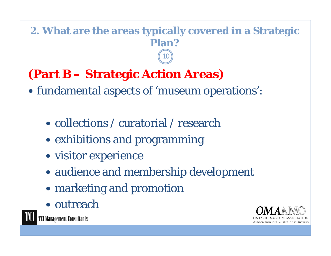#### **2. What are the areas typically covered in a Strategic Plan?**  10

# **(Part B – Strategic Action Areas)**

- fundamental aspects of 'museum operations':
	- collections / curatorial / research
	- exhibitions and programming
	- visitor experience
	- audience and membership development
	- marketing and promotion
	- outreach



**TCI Management Consultants**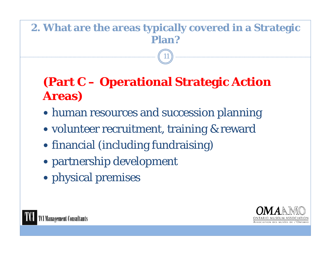#### **2. What are the areas typically covered in a Strategic Plan?**

11

## **(Part C – Operational Strategic Action Areas)**

- human resources and succession planning
- volunteer recruitment, training & reward
- financial (including fundraising)
- partnership development
- physical premises



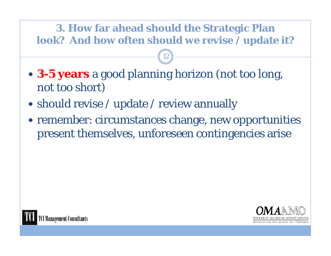#### **3. How far ahead should the Strategic Plan look? And how often should we revise / update it?**

- **3-5 years** a good planning horizon (not too long, not too short)
- should revise / update / review annually
- remember: circumstances change, new opportunities present themselves, unforeseen contingencies arise





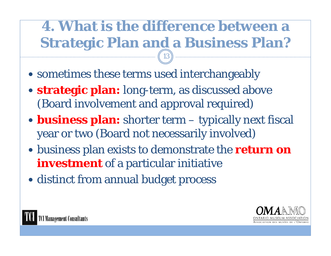# **4. What is the difference between a Strategic Plan and a Business Plan?**

- sometimes these terms used interchangeably
- **strategic plan:** long-term, as discussed above (Board involvement and approval required)
- **business plan:** shorter term typically next fiscal year or two (Board not necessarily involved)
- business plan exists to demonstrate the **return on investment** of a particular initiative
- distinct from annual budget process



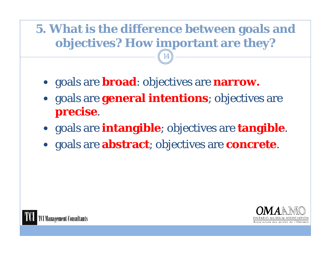# **5. What is the difference between goals and objectives? How important are they?**

- goals are **broad**: objectives are **narrow.**
- goals are **general intentions**; objectives are **precise**.
- goals are **intangible**; objectives are **tangible**.
- goals are **abstract**; objectives are **concrete**.



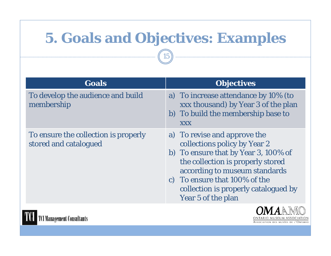# **5. Goals and Objectives: Examples**

15

| <b>Goals</b>                                                  | <b>Objectives</b>                                                                                                                                                                                                                                                         |
|---------------------------------------------------------------|---------------------------------------------------------------------------------------------------------------------------------------------------------------------------------------------------------------------------------------------------------------------------|
| To develop the audience and build<br>membership               | a) To increase attendance by 10% (to<br>xxx thousand) by Year 3 of the plan<br>b) To build the membership base to<br><b>XXX</b>                                                                                                                                           |
| To ensure the collection is properly<br>stored and catalogued | a) To revise and approve the<br>collections policy by Year 2<br>b) To ensure that by Year 3, 100% of<br>the collection is properly stored<br>according to museum standards<br>c) To ensure that 100% of the<br>collection is properly catalogued by<br>Year 5 of the plan |



TOI **TCI Management Consultants**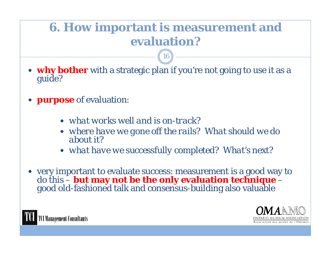# **6. How important is measurement and evaluation?**

16

- **why bother** with a strategic plan if you're not going to use it as a guide?
- **purpose** of evaluation:
	- *what works well and is on-track?*
	- *where have we gone off the rails? What should we do about it?*
	- *what have we successfully completed? What's next?*
- very important to evaluate success: measurement is a good way to do this  $-$  **but may not be the only evaluation technique**  $$  **but may not be the only evaluation technique**  – good old-fashioned talk and consensus-building also valuable



**Management Consultants**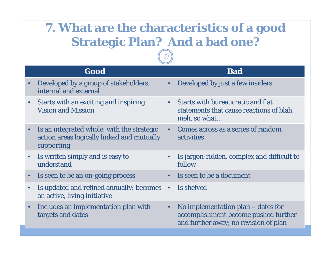## **7. What are the characteristics of a good Strategic Plan? And a bad one?**

|           | Good                                                                                                   |           | <b>Bad</b>                                                                                                          |  |  |  |
|-----------|--------------------------------------------------------------------------------------------------------|-----------|---------------------------------------------------------------------------------------------------------------------|--|--|--|
|           | Developed by a group of stakeholders,<br>internal and external                                         | $\bullet$ | Developed by just a few insiders                                                                                    |  |  |  |
|           | Starts with an exciting and inspiring<br><b>Vision and Mission</b>                                     | $\bullet$ | <b>Starts with bureaucratic and flat</b><br>statements that cause reactions of blah,<br>meh, so what                |  |  |  |
|           | Is an integrated whole, with the strategic<br>action areas logically linked and mutually<br>supporting | $\bullet$ | Comes across as a series of random<br>activities                                                                    |  |  |  |
|           | Is written simply and is easy to<br>understand                                                         |           | Is jargon-ridden, complex and difficult to<br>follow                                                                |  |  |  |
| $\bullet$ | Is seen to be an on-going process                                                                      | $\bullet$ | Is seen to be a document                                                                                            |  |  |  |
|           | Is updated and refined annually: becomes<br>an active, living initiative                               | $\bullet$ | Is shelved                                                                                                          |  |  |  |
|           | Includes an implementation plan with<br>targets and dates                                              | $\bullet$ | No implementation plan – dates for<br>accomplishment become pushed further<br>and further away; no revision of plan |  |  |  |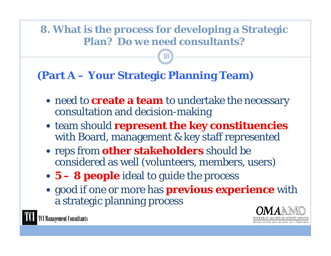#### **8. What is the process for developing a Strategic Plan? Do we need consultants?**

18

#### **(Part A – Your Strategic Planning Team)**

- need to **create a team** to undertake the necessary consultation and decision-making
- team should **represent the key constituencies**  with Board, management & key staff represented
- reps from **other stakeholders** should be considered as well (volunteers, members, users)
- **5 – 8 people** ideal to guide the process
- good if one or more has **previous experience** with a strategic planning process



**I Management Consultants**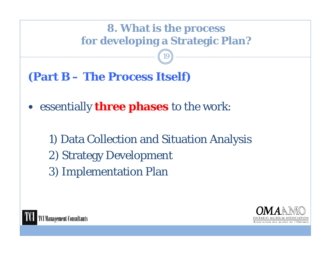# **8. What is the process for developing a Strategic Plan?**

19

**(Part B – The Process Itself)**

- $\bullet$  essentially **three phases** to the work:
	- 1) Data Collection and Situation Analysis 2) Strategy Development 3) Implementation Plan



**Management Consultants** 

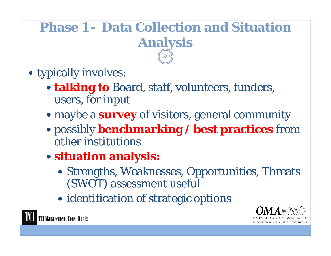### **Phase 1 - Data Collection and Situation Analysis** 20

- typically involves:
	- **talking to** Board, staff, volunteers, funders, users, for input
	- maybe a **survey** of visitors, general community
	- possibly **benchmarking / best practices** from other institutions
	- **situation analysis:** 
		- Strengths, Weaknesses, Opportunities, Threats (SWOT) assessment useful
		- identification of strategic options



**Management Consultants**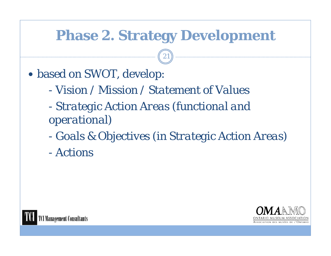# **Phase 2. Strategy Development**

- based on SWOT, develop:
	- *- Vision / Mission / Statement of Values*
	- *- Strategic Action Areas (functional and operational)*
	- *- Goals & Objectives (in Strategic Action Areas)*
	- *- Actions*



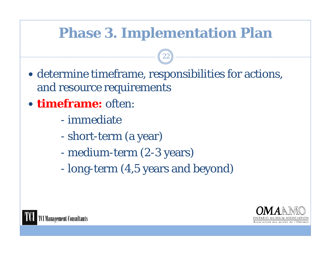# **Phase 3. Implementation Plan**

- determine timeframe, responsibilities for actions, and resource requirements
- **timeframe:** often:
	- immediate
	- short-term (a year)
	- medium-term (2-3 years)
	- long-term (4,5 years and beyond)



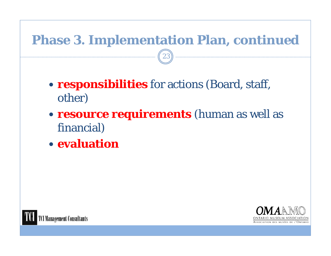# **Phase 3. Implementation Plan,** *continued*

- **responsibilities** for actions (Board, staff, other)
- **resource requirements** (human as well as financial)
- **evaluation**



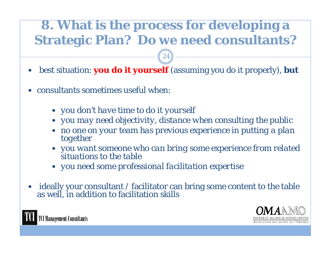# **8. What is the process for developing a Strategic Plan? Do we need consultants?**

 $\bullet$ best situation: **you do it yourself** (assuming you do it properly), **but**

24

- $\bullet$  consultants sometimes useful when:
	- *you don't have time to do it yourself*
	- *you may need objectivity, distance when consulting the public*
	- *no one on your team has previous experience in putting a plan together*
	- *you want someone who can bring some experience from related situations to the table*
	- *you need some professional facilitation expertise*
- $\bullet$ ideally your consultant / facilitator can bring some content to the table as well, in addition to facilitation skills



**CI Management Consultants**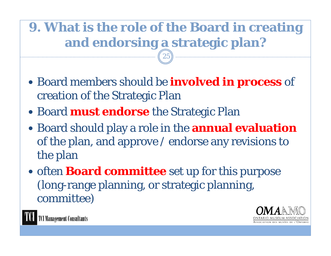# **9. What is the role of the Board in creating and endorsing a strategic plan?**

25

- Board members should be **involved in process** of creation of the Strategic Plan
- Board **must endorse** the Strategic Plan
- Board should play a role in the **annual evaluation**  of the plan, and approve / endorse any revisions to the plan
- often **Board committee** set up for this purpose (long-range planning, or strategic planning, committee)



TCI Management Consultants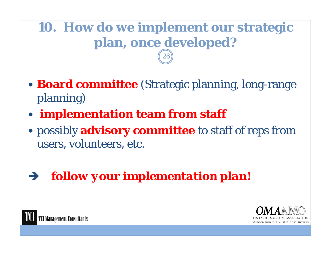# **10. How do we implement our strategic plan, once developed?**

- **Board committee** (Strategic planning, long-range planning)
- **implementation team from staff**
- possibly **advisory committee** to staff of reps from users, volunteers, etc.
- *follow your implementation plan***!**



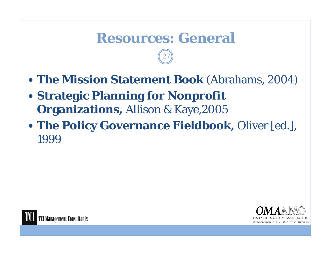# **Resources: General**

27

- **The Mission Statement Book** (Abrahams, 2004)
- **Strategic Planning for Nonprofit Organizations,** Allison & Kaye,2005
- **The Policy Governance Fieldbook,** Oliver [ed.], 1999



**Management Consultants**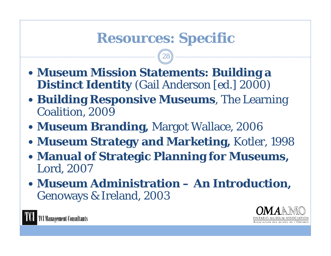# **Resources: Specific**

28

- **Museum Mission Statements: Building a Distinct Identity** (Gail Anderson [ed.] 2000)
- **Building Responsive Museums**, The Learning Coalition, 2009
- **Museum Branding,** Margot Wallace, 2006
- **Museum Strategy and Marketing,** Kotler, 1998
- **Manual of Strategic Planning for Museums,**  Lord, 2007
- **Museum Administration – An Introduction,**  Genoways & Ireland, 2003



**I Management Consultants**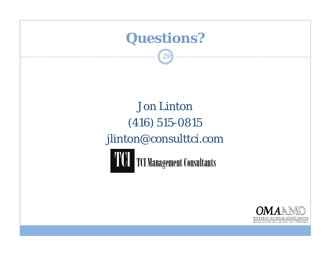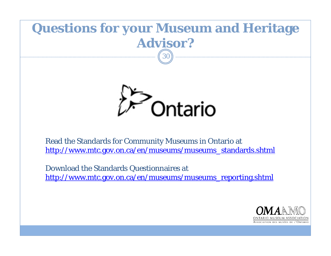#### **Questions for your Museum and Heritage Advisor?**30



Read the Standards for Community Museums in Ontario at http://www.mtc.gov.on.ca/en/museums/museums\_standards.shtml

Download the Standards Questionnaires at http://www.mtc.gov.on.ca/en/museums/museums\_reporting.shtml

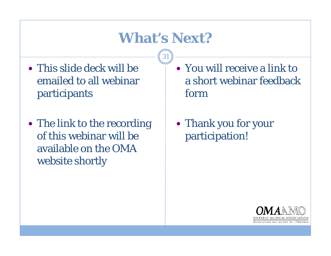# **What's Next?**

- This slide deck will be emailed to all webinar participants
- The link to the recording of this webinar will be available on the OMA website shortly
- You will receive a link to a short webinar feedback form
- Thank you for your participation!